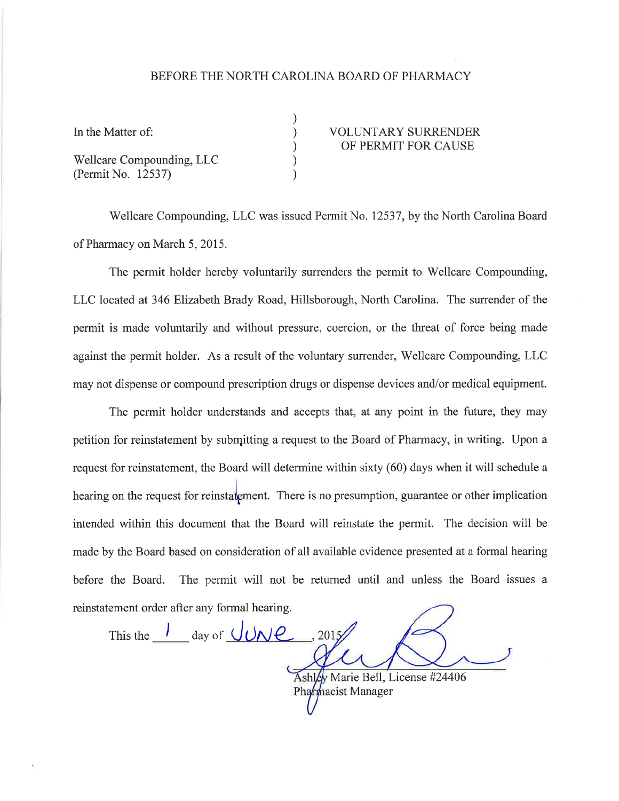## BEFORE THE NORTH CAROLINA BOARD OF PHARMACY

) ) ) ) )

Wellcare Compounding, LLC (Permit No. 12537)

## In the Matter of:  $VOLUTIONTARY SURRENDER$ OF PERMIT FOR CAUSE

Wellcare Compounding, LLC was issued Permit No. 12537, by the North Carolina Board of Pharmacy on March 5,2015.

The permit holder hereby voluntarily surrenders the permit to Wellcare Compounding, LLC located at 346 Elizabeth Brady Road, Hillsborough, North Carolina. The surrender of the permit is made voluntarily and without pressure, coercion, or the threat of force being made against the permit holder. As a result of the voluntary surrender, Wellcare Compounding, LLC may not dispense or compound prescription drugs or dispense devices and/or medical equipment.

The permit holder understands and accepts that, at any point in the future, they may petition for reinstatement by submitting a request to the Board of Pharmacy, in writing. Upon a request for reinstatement, the Board will determine within sixty (60) days when it will schedule a hearing on the request for reinstatement. There is no presumption, guarantee or other implication intended within this document that the Board will reinstate the permit. The decision will be made by the Board based on consideration of all available evidence presented at a formal hearing before the Board. The permit will not be returned until and unless the Board issues <sup>a</sup> reinstatement order after any formal hearing.

This the  $\frac{1}{2}$  day of  $\frac{1}{2}$ , 2015 Ashley Marie Bell, License #24406 Pharmacist Manager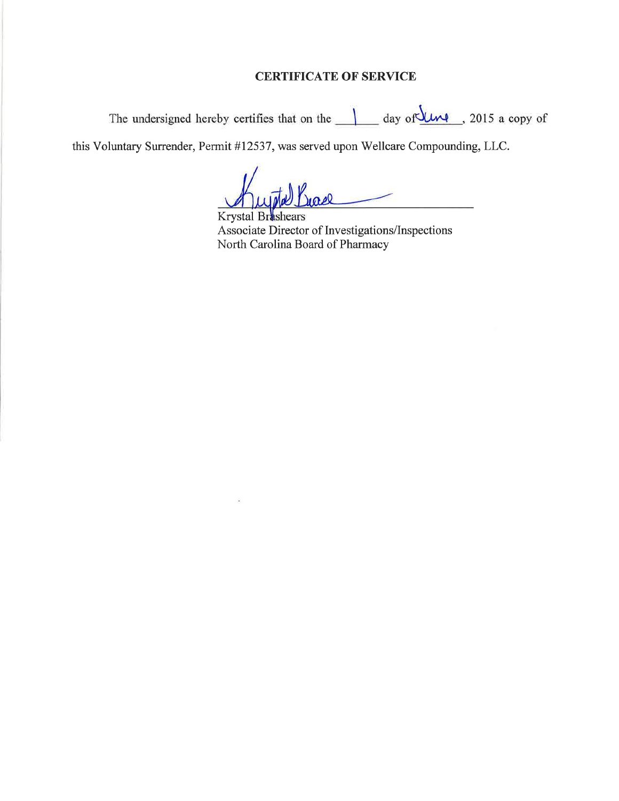## CERTIFICATE OF SERVICE

The undersigned hereby certifies that on the  $\frac{1}{\sqrt{2\pi}}$  day of  $\frac{1}{\sqrt{2\pi}}$ , 2015 a copy of

this Voluntary Surrender, Permit #12537, was served upon Wellcare Compounding, LLC.

Jease

Krystal Brashears Associate Director of Investigations/Inspections North Carolina Board of Pharmacy